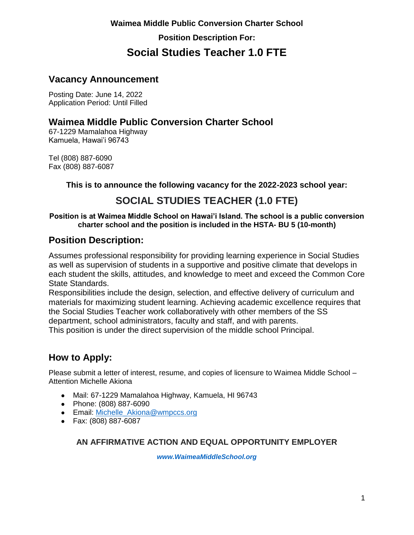### **Vacancy Announcement**

Posting Date: June 14, 2022 Application Period: Until Filled

### **Waimea Middle Public Conversion Charter School**

67-1229 Mamalahoa Highway Kamuela, Hawai'i 96743

Tel (808) 887-6090 Fax (808) 887-6087

**This is to announce the following vacancy for the 2022-2023 school year:**

## **SOCIAL STUDIES TEACHER (1.0 FTE)**

#### **Position is at Waimea Middle School on Hawai'i Island. The school is a public conversion charter school and the position is included in the HSTA- BU 5 (10-month)**

### **Position Description:**

Assumes professional responsibility for providing learning experience in Social Studies as well as supervision of students in a supportive and positive climate that develops in each student the skills, attitudes, and knowledge to meet and exceed the Common Core State Standards.

Responsibilities include the design, selection, and effective delivery of curriculum and materials for maximizing student learning. Achieving academic excellence requires that the Social Studies Teacher work collaboratively with other members of the SS department, school administrators, faculty and staff, and with parents. This position is under the direct supervision of the middle school Principal.

### **How to Apply:**

Please submit a letter of interest, resume, and copies of licensure to Waimea Middle School – Attention Michelle Akiona

- Mail: 67-1229 Mamalahoa Highway, Kamuela, HI 96743
- Phone: (808) 887-6090
- Email: [Michelle\\_Akiona@wmpccs.org](mailto:Michelle_Kauhi@wmpccs.org)
- Fax: (808) 887-6087

#### **AN AFFIRMATIVE ACTION AND EQUAL OPPORTUNITY EMPLOYER**

*[www.WaimeaMiddleSchool.org](http://www.waimeamiddleschool.org/)*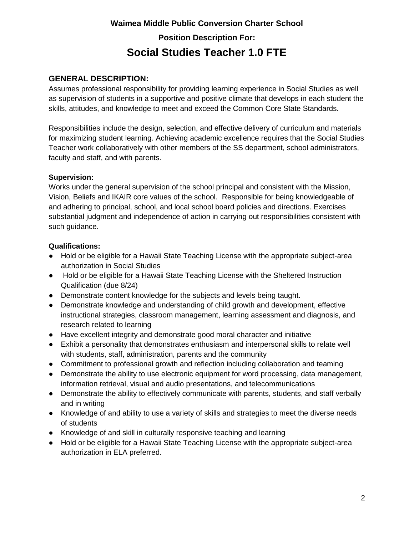### **GENERAL DESCRIPTION:**

Assumes professional responsibility for providing learning experience in Social Studies as well as supervision of students in a supportive and positive climate that develops in each student the skills, attitudes, and knowledge to meet and exceed the Common Core State Standards.

Responsibilities include the design, selection, and effective delivery of curriculum and materials for maximizing student learning. Achieving academic excellence requires that the Social Studies Teacher work collaboratively with other members of the SS department, school administrators, faculty and staff, and with parents.

#### **Supervision:**

Works under the general supervision of the school principal and consistent with the Mission, Vision, Beliefs and IKAIR core values of the school. Responsible for being knowledgeable of and adhering to principal, school, and local school board policies and directions. Exercises substantial judgment and independence of action in carrying out responsibilities consistent with such guidance.

#### **Qualifications:**

- Hold or be eligible for a Hawaii State Teaching License with the appropriate subject-area authorization in Social Studies
- Hold or be eligible for a Hawaii State Teaching License with the Sheltered Instruction Qualification (due 8/24)
- Demonstrate content knowledge for the subjects and levels being taught.
- Demonstrate knowledge and understanding of child growth and development, effective instructional strategies, classroom management, learning assessment and diagnosis, and research related to learning
- Have excellent integrity and demonstrate good moral character and initiative
- Exhibit a personality that demonstrates enthusiasm and interpersonal skills to relate well with students, staff, administration, parents and the community
- Commitment to professional growth and reflection including collaboration and teaming
- Demonstrate the ability to use electronic equipment for word processing, data management, information retrieval, visual and audio presentations, and telecommunications
- Demonstrate the ability to effectively communicate with parents, students, and staff verbally and in writing
- Knowledge of and ability to use a variety of skills and strategies to meet the diverse needs of students
- Knowledge of and skill in culturally responsive teaching and learning
- Hold or be eligible for a Hawaii State Teaching License with the appropriate subject-area authorization in ELA preferred.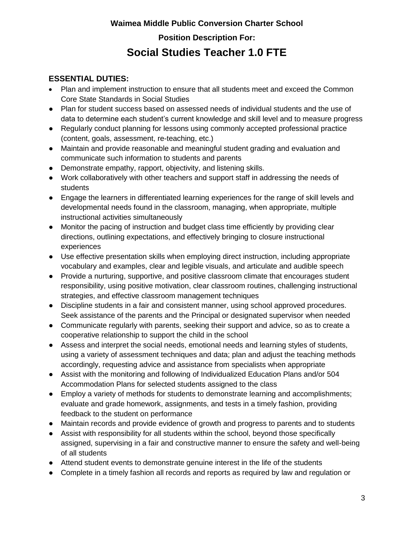### **ESSENTIAL DUTIES:**

- Plan and implement instruction to ensure that all students meet and exceed the Common Core State Standards in Social Studies
- Plan for student success based on assessed needs of individual students and the use of data to determine each student's current knowledge and skill level and to measure progress
- Regularly conduct planning for lessons using commonly accepted professional practice (content, goals, assessment, re-teaching, etc.)
- Maintain and provide reasonable and meaningful student grading and evaluation and communicate such information to students and parents
- Demonstrate empathy, rapport, objectivity, and listening skills.
- Work collaboratively with other teachers and support staff in addressing the needs of students
- Engage the learners in differentiated learning experiences for the range of skill levels and developmental needs found in the classroom, managing, when appropriate, multiple instructional activities simultaneously
- Monitor the pacing of instruction and budget class time efficiently by providing clear directions, outlining expectations, and effectively bringing to closure instructional experiences
- Use effective presentation skills when employing direct instruction, including appropriate vocabulary and examples, clear and legible visuals, and articulate and audible speech
- Provide a nurturing, supportive, and positive classroom climate that encourages student responsibility, using positive motivation, clear classroom routines, challenging instructional strategies, and effective classroom management techniques
- Discipline students in a fair and consistent manner, using school approved procedures. Seek assistance of the parents and the Principal or designated supervisor when needed
- Communicate regularly with parents, seeking their support and advice, so as to create a cooperative relationship to support the child in the school
- Assess and interpret the social needs, emotional needs and learning styles of students, using a variety of assessment techniques and data; plan and adjust the teaching methods accordingly, requesting advice and assistance from specialists when appropriate
- Assist with the monitoring and following of Individualized Education Plans and/or 504 Accommodation Plans for selected students assigned to the class
- Employ a variety of methods for students to demonstrate learning and accomplishments; evaluate and grade homework, assignments, and tests in a timely fashion, providing feedback to the student on performance
- Maintain records and provide evidence of growth and progress to parents and to students
- Assist with responsibility for all students within the school, beyond those specifically assigned, supervising in a fair and constructive manner to ensure the safety and well-being of all students
- Attend student events to demonstrate genuine interest in the life of the students
- Complete in a timely fashion all records and reports as required by law and regulation or